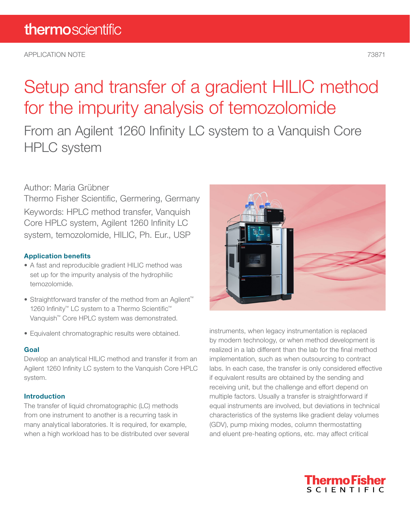APPLICATION NOTE 73871

# Setup and transfer of a gradient HILIC method for the impurity analysis of temozolomide

From an Agilent 1260 Infinity LC system to a Vanquish Core HPLC system

### Author: Maria Grübner

Thermo Fisher Scientific, Germering, Germany Keywords: HPLC method transfer, Vanquish Core HPLC system, Agilent 1260 Infinity LC system, temozolomide, HILIC, Ph. Eur., USP

#### Application benefits

- A fast and reproducible gradient HILIC method was set up for the impurity analysis of the hydrophilic temozolomide.
- Straightforward transfer of the method from an Agilent™ 1260 Infinity<sup>™</sup> LC system to a Thermo Scientific<sup>™</sup> Vanquish™ Core HPLC system was demonstrated.
- Equivalent chromatographic results were obtained.

#### Goal

Develop an analytical HILIC method and transfer it from an Agilent 1260 Infinity LC system to the Vanquish Core HPLC system.

#### Introduction

The transfer of liquid chromatographic (LC) methods from one instrument to another is a recurring task in many analytical laboratories. It is required, for example, when a high workload has to be distributed over several



instruments, when legacy instrumentation is replaced by modern technology, or when method development is realized in a lab different than the lab for the final method implementation, such as when outsourcing to contract labs. In each case, the transfer is only considered effective if equivalent results are obtained by the sending and receiving unit, but the challenge and effort depend on multiple factors. Usually a transfer is straightforward if equal instruments are involved, but deviations in technical characteristics of the systems like gradient delay volumes (GDV), pump mixing modes, column thermostatting and eluent pre-heating options, etc. may affect critical

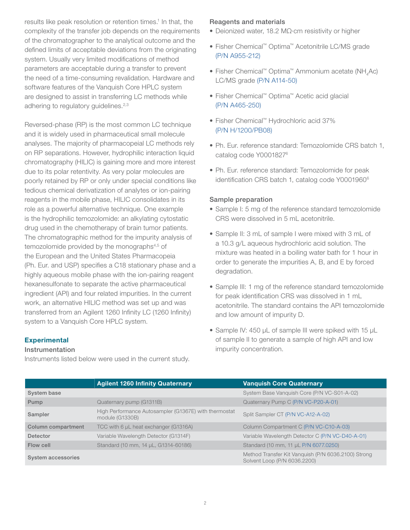results like peak resolution or retention times.<sup>1</sup> In that, the complexity of the transfer job depends on the requirements of the chromatographer to the analytical outcome and the defined limits of acceptable deviations from the originating system. Usually very limited modifications of method parameters are acceptable during a transfer to prevent the need of a time-consuming revalidation. Hardware and software features of the Vanquish Core HPLC system are designed to assist in transferring LC methods while adhering to regulatory guidelines.<sup>2,3</sup>

Reversed-phase (RP) is the most common LC technique and it is widely used in pharmaceutical small molecule analyses. The majority of pharmacopeial LC methods rely on RP separations. However, hydrophilic interaction liquid chromatography (HILIC) is gaining more and more interest due to its polar retentivity. As very polar molecules are poorly retained by RP or only under special conditions like tedious chemical derivatization of analytes or ion-pairing reagents in the mobile phase, HILIC consolidates in its role as a powerful alternative technique. One example is the hydrophilic temozolomide: an alkylating cytostatic drug used in the chemotherapy of brain tumor patients. The chromatographic method for the impurity analysis of temozolomide provided by the monographs<sup>4,5</sup> of the European and the United States Pharmacopeia (Ph. Eur. and USP) specifies a C18 stationary phase and a highly aqueous mobile phase with the ion-pairing reagent hexanesulfonate to separate the active pharmaceutical ingredient (API) and four related impurities. In the current work, an alternative HILIC method was set up and was transferred from an Agilent 1260 Infinity LC (1260 Infinity) system to a Vanquish Core HPLC system.

#### **Experimental**

#### Instrumentation

Instruments listed below were used in the current study.

#### Reagents and materials

- Deionized water, 18.2 MΩ·cm resistivity or higher
- Fisher Chemical™ Optima™ Acetonitrile LC/MS grade [\(P/N A955-212\)](https://www.fishersci.ca/shop/products/acetonitrile-optima-lc-ms-fisher-chemical-5/a955212)
- Fisher Chemical™ Optima™ Ammonium acetate (NH,Ac) LC/MS grade [\(P/N A114-50\)](https://www.fishersci.com/shop/products/ammonium-acetate-optima-lc-ms-fisher-chemical/A11450)
- Fisher Chemical™ Optima™ Acetic acid glacial [\(P/N A465-250\)](https://www.fishersci.com/shop/products/acetic-acid-glacial-optima-fisher-chemical-3/A465250)
- Fisher Chemical™ Hydrochloric acid 37% [\(P/N H/1200/PB08\)](https://www.fishersci.co.uk/shop/products/hydrochloric-acid-37-certified-ar-analysis-d-1-18-2/10053023)
- Ph. Eur. reference standard: Temozolomide CRS batch 1, catalog code Y00018276
- Ph. Eur. reference standard: Temozolomide for peak identification CRS batch 1, catalog code Y0001960<sup>6</sup>

#### Sample preparation

- Sample I: 5 mg of the reference standard temozolomide CRS were dissolved in 5 mL acetonitrile.
- Sample II: 3 mL of sample I were mixed with 3 mL of a 10.3 g/L aqueous hydrochloric acid solution. The mixture was heated in a boiling water bath for 1 hour in order to generate the impurities A, B, and E by forced degradation.
- Sample III: 1 mg of the reference standard temozolomide for peak identification CRS was dissolved in 1 mL acetonitrile. The standard contains the API temozolomide and low amount of impurity D.
- Sample IV: 450 µL of sample III were spiked with 15 µL of sample II to generate a sample of high API and low impurity concentration.

|                    | <b>Agilent 1260 Infinity Quaternary</b>                                  | <b>Vanguish Core Quaternary</b>                                                     |
|--------------------|--------------------------------------------------------------------------|-------------------------------------------------------------------------------------|
| System base        |                                                                          | System Base Vanguish Core (P/N VC-S01-A-02)                                         |
| Pump               | Quaternary pump (G1311B)                                                 | Quaternary Pump C (P/N VC-P20-A-01)                                                 |
| Sampler            | High Performance Autosampler (G1367E) with thermostat<br>module (G1330B) | Split Sampler CT (P/N VC-A12-A-02)                                                  |
| Column compartment | TCC with 6 µL heat exchanger (G1316A)                                    | Column Compartment C (P/N VC-C10-A-03)                                              |
| Detector           | Variable Wavelength Detector (G1314F)                                    | Variable Wavelength Detector C (P/N VC-D40-A-01)                                    |
| Flow cell          | Standard (10 mm, 14 µL, G1314-60186)                                     | Standard (10 mm, 11 µL P/N 6077.0250)                                               |
| System accessories |                                                                          | Method Transfer Kit Vanquish (P/N 6036.2100) Strong<br>Solvent Loop (P/N 6036.2200) |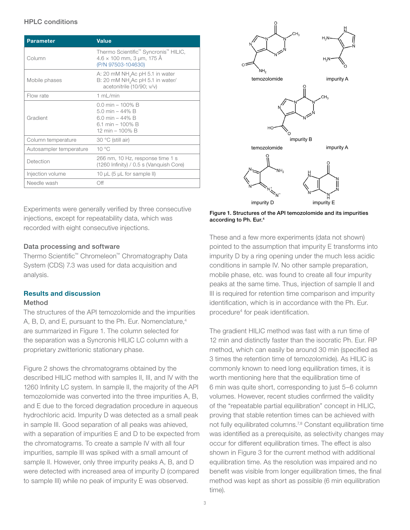#### HPLC conditions

| <b>Parameter</b>        | Value                                                                                                       |
|-------------------------|-------------------------------------------------------------------------------------------------------------|
| Column                  | Thermo Scientific™ Syncronis™ HILIC,<br>$4.6 \times 100$ mm, 3 µm, 175 Å<br>(P/N 97503-104630)              |
| Mobile phases           | A: 20 mM NH <sub>4</sub> Ac pH 5.1 in water<br>B: 20 mM NH Ac pH 5.1 in water/<br>acetonitrile (10/90; v/v) |
| Flow rate               | 1 $mL/min$                                                                                                  |
| Gradient                | $0.0$ min – 100% B<br>5.0 min $-44\%$ B<br>6.0 min $-44\%$ B<br>6.1 min - 100% B<br>12 min - 100% B         |
| Column temperature      | 30 °C (still air)                                                                                           |
| Autosampler temperature | $10^{\circ}$ C                                                                                              |
| Detection               | 266 nm, 10 Hz, response time 1 s<br>(1260 Infinity) / 0.5 s (Vanguish Core)                                 |
| Injection volume        | 10 $\mu$ L (5 $\mu$ L for sample II)                                                                        |
| Needle wash             | Ωff                                                                                                         |

Experiments were generally verified by three consecutive **1** injections, except for repeatability data, which was recorded with eight consecutive injections.

#### Data processing and software

Thermo Scientific™ Chromeleon™ Chromatography Data System (CDS) 7.3 was used for data acquisition and analysis.

### Results and discussion

#### Method

The structures of the API temozolomide and the impurities A, B, D, and E, pursuant to the Ph. Eur. Nomenclature,<sup>4</sup> are summarized in Figure 1. The column selected for the separation was a Syncronis HILIC LC column with a proprietary zwitterionic stationary phase.

Figure 2 shows the chromatograms obtained by the described HILIC method with samples II, III, and IV with the 1260 Infinity LC system. In sample II, the majority of the API temozolomide was converted into the three impurities A, B, and E due to the forced degradation procedure in aqueous hydrochloric acid. Impurity D was detected as a small peak in sample III. Good separation of all peaks was ahieved, with a separation of impurities E and D to be expected from the chromatograms. To create a sample IV with all four impurities, sample III was spiked with a small amount of sample II. However, only three impurity peaks A, B, and D were detected with increased area of impurity D (compared to sample III) while no peak of impurity E was observed.



Figure 1. Structures of the API temozolomide and its impurities according to Ph. Eur.4 **1**

These and a few more experiments (data not shown) pointed to the assumption that impurity E transforms into impurity D by a ring opening under the much less acidic conditions in sample IV. No other sample preparation, mobile phase, etc. was found to create all four impurity peaks at the same time. Thus, injection of sample II and III is required for retention time comparison and impurity identification, which is in accordance with the Ph. Eur. procedure4 for peak identification.

The gradient HILIC method was fast with a run time of 12 min and distinctly faster than the isocratic Ph. Eur. RP method, which can easily be around 30 min (specified as 3 times the retention time of temozolomide). As HILIC is commonly known to need long equilibration times, it is worth mentioning here that the equilibration time of 6 min was quite short, corresponding to just 5–6 column volumes. However, recent studies confirmed the validity of the "repeatable partial equilibration" concept in HILIC, proving that stable retention times can be achieved with not fully equilibrated columns.7,8 Constant equilibration time was identified as a prerequisite, as selectivity changes may occur for different equilibration times. The effect is also shown in Figure 3 for the current method with additional equilibration time. As the resolution was impaired and no benefit was visible from longer equilibration times, the final method was kept as short as possible (6 min equilibration time).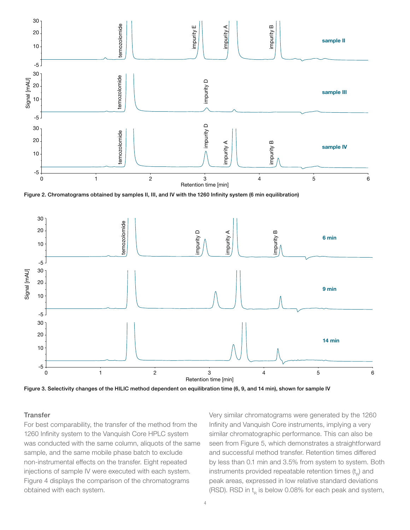



Figure 3. Selectivity changes of the HILIC method dependent on equilibration time (6, 9, and 14 min), shown for sample IV

#### **Transfer**

For best comparability, the transfer of the method from the 1260 Infinity system to the Vanquish Core HPLC system was conducted with the same column, aliquots of the same sample, and the same mobile phase batch to exclude non-instrumental effects on the transfer. Eight repeated injections of sample IV were executed with each system. Figure 4 displays the comparison of the chromatograms obtained with each system.

Very similar chromatograms were generated by the 1260 Infinity and Vanquish Core instruments, implying a very similar chromatographic performance. This can also be seen from Figure 5, which demonstrates a straightforward and successful method transfer. Retention times differed by less than 0.1 min and 3.5% from system to system. Both instruments provided repeatable retention times  $(t<sub>p</sub>)$  and peak areas, expressed in low relative standard deviations (RSD). RSD in  $t_R$  is below 0.08% for each peak and system,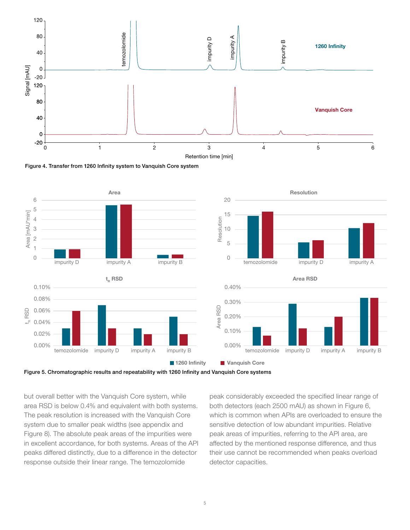

Figure 4. Transfer from 1260 Infinity system to Vanquish Core system





but overall better with the Vanquish Core system, while area RSD is below 0.4% and equivalent with both systems. The peak resolution is increased with the Vanquish Core system due to smaller peak widths (see appendix and Figure 8). The absolute peak areas of the impurities were in excellent accordance, for both systems. Areas of the API peaks differed distinctly, due to a difference in the detector response outside their linear range. The temozolomide

peak considerably exceeded the specified linear range of both detectors (each 2500 mAU) as shown in Figure 6, which is common when APIs are overloaded to ensure the sensitive detection of low abundant impurities. Relative peak areas of impurities, referring to the API area, are affected by the mentioned response difference, and thus their use cannot be recommended when peaks overload detector capacities.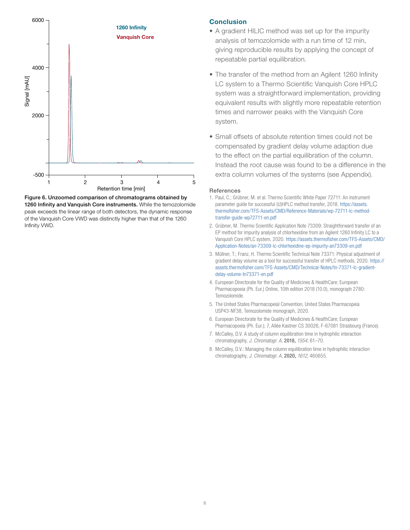

Figure 6. Unzoomed comparison of chromatograms obtained by 1260 Infinity and Vanquish Core instruments. While the temozolomide peak exceeds the linear range of both detectors, the dynamic response of the Vanquish Core VWD was distinctly higher than that of the 1260 Infinity VWD.

#### **Conclusion**

- A gradient HILIC method was set up for the impurity analysis of temozolomide with a run time of 12 min, giving reproducible results by applying the concept of repeatable partial equilibration.
- The transfer of the method from an Agilent 1260 Infinity LC system to a Thermo Scientific Vanquish Core HPLC system was a straightforward implementation, providing equivalent results with slightly more repeatable retention times and narrower peaks with the Vanquish Core system.
- Small offsets of absolute retention times could not be compensated by gradient delay volume adaption due to the effect on the partial equilibration of the column. Instead the root cause was found to be a difference in the extra column volumes of the systems (see Appendix).

#### References

- 1. Paul, C.; Grübner, M. et al. Thermo Scientific White Paper 72711: An instrument parameter guide for successful (U)HPLC method transfer, 2018. [https://assets.](https://assets.thermofisher.com/TFS-Assets/CMD/Reference-Materials/wp-72711-lc-method-transfer-guide-wp72711-en.pdf) [thermofisher.com/TFS-Assets/CMD/Reference-Materials/wp-72711-lc-method](https://assets.thermofisher.com/TFS-Assets/CMD/Reference-Materials/wp-72711-lc-method-transfer-guide-wp72711-en.pdf)[transfer-guide-wp72711-en.pdf](https://assets.thermofisher.com/TFS-Assets/CMD/Reference-Materials/wp-72711-lc-method-transfer-guide-wp72711-en.pdf)
- 2. Grübner, M. Thermo Scientific Application Note 73309: Straightforward transfer of an EP method for impurity analysis of chlorhexidine from an Agilent 1260 Infinity LC to a Vanquish Core HPLC system, 2020. [https://assets.thermofisher.com/TFS-Assets/CMD/](https://assets.thermofisher.com/TFS-Assets/CMD/Application-Notes/an-73309-lc-chlorhexidine-ep-impurity-an73309-en.pdf) [Application-Notes/an-73309-lc-chlorhexidine-ep-impurity-an73309-en.pdf](https://assets.thermofisher.com/TFS-Assets/CMD/Application-Notes/an-73309-lc-chlorhexidine-ep-impurity-an73309-en.pdf)
- 3. Müllner, T.; Franz, H. Thermo Scientific Technical Note 73371: Physical adjustment of gradient delay volume as a tool for successful transfer of HPLC methods, 2020. [https://](https://assets.thermofisher.com/TFS-Assets/CMD/Technical-Notes/tn-73371-lc-gradient-delay-volume-tn73371-en.pdf) [assets.thermofisher.com/TFS-Assets/CMD/Technical-Notes/tn-73371-lc-gradient](https://assets.thermofisher.com/TFS-Assets/CMD/Technical-Notes/tn-73371-lc-gradient-delay-volume-tn73371-en.pdf)[delay-volume-tn73371-en.pdf](https://assets.thermofisher.com/TFS-Assets/CMD/Technical-Notes/tn-73371-lc-gradient-delay-volume-tn73371-en.pdf)
- 4. European Directorate for the Quality of Medicines & HealthCare; European Pharmacopoeia (Ph. Eur.) Online, 10th edition 2018 (10.0), monograph 2780: Temozolomide.
- 5. The United States Pharmacopeial Convention, United States Pharmacopeia USP43-NF38, Temozolomide monograph, 2020.
- 6. European Directorate for the Quality of Medicines & HealthCare; European Pharmacopoeia (Ph. Eur.); 7, Allée Kastner CS 30026, F-67081 Strasbourg (France).
- 7. McCalley, D.V. A study of column equilibration time in hydrophilic interaction chromatography, *J. Chromatogr. A,* 2018, *1554,* 61–70.
- 8. McCalley, D.V.: Managing the column equilibration time in hydrophilic interaction chromatography, *J. Chromatogr. A,* 2020, *1612,* 460655.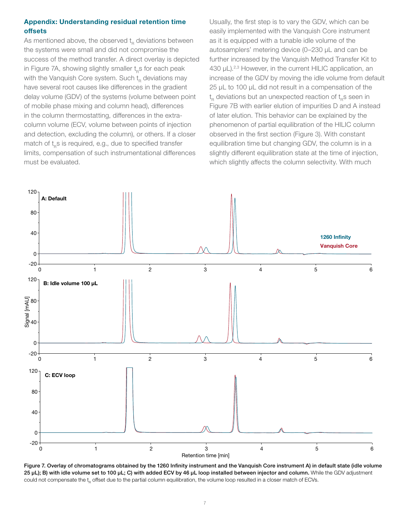#### Appendix: Understanding residual retention time offsets

As mentioned above, the observed  $t_{R}$  deviations between the systems were small and did not compromise the success of the method transfer. A direct overlay is depicted in Figure 7A, showing slightly smaller  $t_{B}$ s for each peak with the Vanquish Core system. Such  $t<sub>p</sub>$  deviations may have several root causes like differences in the gradient delay volume (GDV) of the systems (volume between point of mobile phase mixing and column head), differences in the column thermostatting, differences in the extracolumn volume (ECV, volume between points of injection and detection, excluding the column), or others. If a closer match of  $t_{B}$ s is required, e.g., due to specified transfer limits, compensation of such instrumentational differences must be evaluated.

Usually, the first step is to vary the GDV, which can be easily implemented with the Vanquish Core instrument as it is equipped with a tunable idle volume of the autosamplers' metering device (0–230 µL and can be further increased by the Vanquish Method Transfer Kit to 430 µL).<sup>2,3</sup> However, in the current HILIC application, an increase of the GDV by moving the idle volume from default 25 µL to 100 µL did not result in a compensation of the  $\mathsf{t}_{_{\mathsf{R}}}$  deviations but an unexpected reaction of  $\mathsf{t}_{_{\mathsf{R}}}$ s seen in Figure 7B with earlier elution of impurities D and A instead of later elution. This behavior can be explained by the phenomenon of partial equilibration of the HILIC column observed in the first section (Figure 3). With constant equilibration time but changing GDV, the column is in a slightly different equilibration state at the time of injection, which slightly affects the column selectivity. With much



Figure 7. Overlay of chromatograms obtained by the 1260 Infinity instrument and the Vanquish Core instrument A) in default state (idle volume 25 µL); B) with idle volume set to 100 µL; C) with added ECV by 46 µL loop installed between injector and column. While the GDV adjustment could not compensate the  $t<sub>n</sub>$  offset due to the partial column equilibration, the volume loop resulted in a closer match of ECVs.